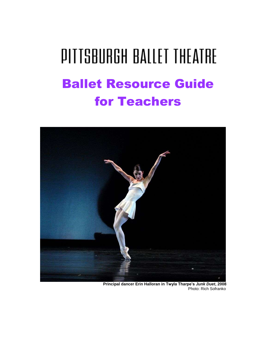# **PITTSBURGH BALLET THEATRE** Ballet Resource Guide for Teachers



 **Principal dancer Erin Halloran in Twyla Tharpe's** *Junk Duet***, 2008** Photo: Rich Sofranko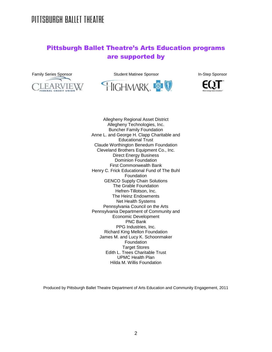### Pittsburgh Ballet Theatre's Arts Education programs are supported by



Family Series Sponsor **Student Matinee Sponsor** In-Step Sponsor **In-Step Sponsor** 





Allegheny Regional Asset District Allegheny Technologies, Inc. Buncher Family Foundation Anne L. and George H. Clapp Charitable and Educational Trust Claude Worthington Benedum Foundation Cleveland Brothers Equipment Co., Inc. Direct Energy Business Dominion Foundation First Commonwealth Bank Henry C. Frick Educational Fund of The Buhl Foundation GENCO Supply Chain Solutions The Grable Foundation Hefren-Tillotson, Inc. The Heinz Endowments Net Health Systems Pennsylvania Council on the Arts Pennsylvania Department of Community and Economic Development PNC Bank PPG Industries, Inc. Richard King Mellon Foundation James M. and Lucy K. Schoonmaker Foundation Target Stores Edith L. Trees Charitable Trust UPMC Health Plan Hilda M. Willis Foundation

Produced by Pittsburgh Ballet Theatre Department of Arts Education and Community Engagement, 2011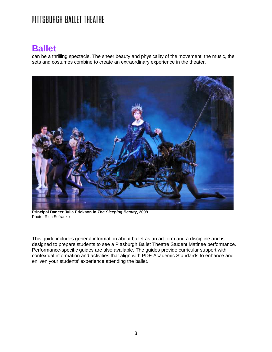### **Ballet**

can be a thrilling spectacle. The sheer beauty and physicality of the movement, the music, the sets and costumes combine to create an extraordinary experience in the theater.



**Principal Dancer Julia Erickson in** *The Sleeping Beauty***, 2009** Photo: Rich Sofranko

This guide includes general information about ballet as an art form and a discipline and is designed to prepare students to see a Pittsburgh Ballet Theatre Student Matinee performance. Performance-specific guides are also available. The guides provide curricular support with contextual information and activities that align with PDE Academic Standards to enhance and enliven your students' experience attending the ballet.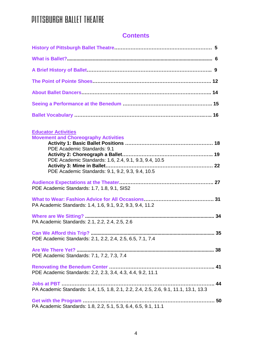### **Contents**

| <b>Educator Activities</b><br><b>Movement and Choreography Activities</b>              |  |
|----------------------------------------------------------------------------------------|--|
| PDE Academic Standards: 9.1                                                            |  |
|                                                                                        |  |
| PDE Academic Standards: 1.6, 2.4, 9.1, 9.3, 9.4, 10.5                                  |  |
| PDE Academic Standards: 9.1, 9.2, 9.3, 9.4, 10.5                                       |  |
| PDE Academic Standards: 1.7, 1.8, 9.1, SIS2                                            |  |
| PA Academic Standards: 1.4, 1.6, 9.1, 9.2, 9.3, 9.4, 11.2                              |  |
| PA Academic Standards: 2.1, 2.2, 2.4, 2.5, 2.6                                         |  |
| PDE Academic Standards: 2.1, 2.2, 2.4, 2.5, 6.5, 7.1, 7.4                              |  |
| PDE Academic Standards: 7.1, 7.2, 7.3, 7.4                                             |  |
| PDE Academic Standards: 2.2, 2.3, 3.4, 4.3, 4.4, 9.2, 11.1                             |  |
| PA Academic Standards: 1.4, 1.5, 1.8, 2.1, 2.2, 2.4, 2.5, 2.6, 9.1, 11.1, 13.1, 13.3   |  |
| Get with the Program<br>PA Academic Standards: 1.8, 2.2, 5.1, 5.3, 6.4, 6.5, 9.1, 11.1 |  |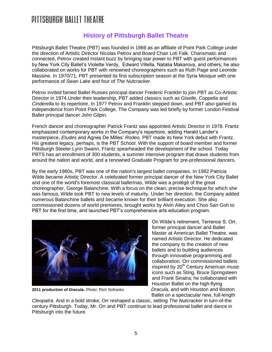### DITTSRURGH RAITET THEATRE

### **History of Pittsburgh Ballet Theatre**

Pittsburgh Ballet Theatre (PBT) was founded in 1969 as an affiliate of Point Park College under the direction of Artistic Director Nicolas Petrov and Board Chair Loti Falk. Charismatic and connected, Petrov created instant buzz by bringing star power to PBT with guest performances by New York City Ballet's Violette Verdy, Edward Villella, Natalia Makarova, and others; he also collaborated on works for PBT with renowned choreographers such as Ruth Page and Leonide Massine. In 1970/71, PBT presented its first subscription season at the Syria Mosque with one performance of *Swan Lake* and four of *The Nutcracker*.

Petrov invited famed Ballet Russes principal dancer Frederic Franklin to join PBT as Co-Artistic Director in 1974.Under their leadership, PBT added classics such as *Giselle, Coppelia* and *Cinderella* to its repertoire. In 1977 Petrov and Franklin stepped down, and PBT also gained its independence from Point Park College. The Company was led briefly by former London Festival Ballet principal dancer John Gilpin.

French dancer and choreographer Patrick Frantz was appointed Artistic Director in 1978. Frantz emphasized contemporary works in the Company's repertoire, adding Harald Lander's masterpiece, *Etudes* and Agnes De Milles' *Rodeo.* PBT made its New York debut with Frantz. His greatest legacy, perhaps, is the PBT School. With the support of board member and former Pittsburgh Steeler Lynn Swann, Frantz spearheaded the development of the school. Today PBTS has an enrollment of 300 students, a summer intensive program that draws students from around the nation and world, and a renowned Graduate Program for pre-professional dancers.

By the early 1980s, PBT was one of the nation's largest ballet companies. In 1982 Patricia Wilde became Artistic Director. A celebrated former principal dancer of the New York City Ballet and one of the world's foremost classical ballerinas, Wilde was a protégé of the great choreographer, George Balanchine. With a focus on the clean, precise technique for which she was famous, Wilde took PBT to new levels of maturity. Under her direction, the Company added numerous Balanchine ballets and became known for their brilliant execution. She also commissioned dozens of world premieres, brought works by Alvin Ailey and Choo San Goh to PBT for the first time, and launched PBT's comprehensive arts education program.



On Wilde's retirement, Terrence S. Orr, former principal dancer and Ballet Master at American Ballet Theatre, was named Artistic Director. He dedicated the company to the creation of new ballets and to building audiences through innovative programming and collaboration. Orr commissioned ballets inspired by 20<sup>th</sup> Century American music icons such as Sting, Bruce Springsteen and Frank Sinatra; he collaborated with Houston Ballet on the high-flying **2011 production of** *Dracula***.** Photo: Rich Sofranko *Dracula*, and with Houston and Boston Ballet on a spectacular new, full-length

*Cleopatra*. And in a bold stroke, Orr reshaped a classic, setting *The Nutcracker* in turn-of-the century Pittsburgh. Today, Mr. Orr and PBT continue to lead professional ballet and dance in Pittsburgh into the future.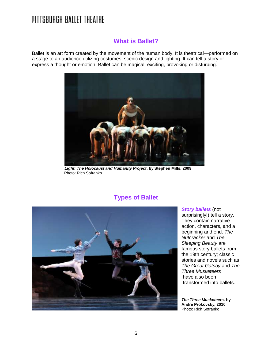### **What is Ballet?**

Ballet is an art form created by the movement of the human body. It is theatrical—performed on a stage to an audience utilizing costumes, scenic design and lighting. It can tell a story or express a thought or emotion. Ballet can be magical, exciting, provoking or disturbing.



*Light: The Holocaust and Humanity Project***, by Stephen Mills, 2009** Photo: Rich Sofranko

### **Types of Ballet**



*Story ballets* (not surprisingly!) tell a story. They contain narrative action, characters, and a beginning and end. *The Nutcracker* and *The Sleeping Beauty* are famous story ballets from the 19th century; classic stories and novels such as *The Great Gatsby* and *The Three Musketeers* have also been transformed into ballets.

*The Three Musketeers,* **by Andre Prokovsky, 2010** Photo: Rich Sofranko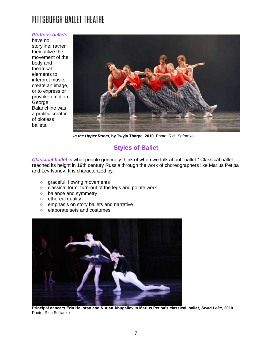#### *Plotless ballets*

have no storyline: rather they utilize the movement of the body and theatrical elements to interpret music, create an image, or to express or provoke emotion. George Balanchine was a prolific creator of plotless ballets.



*In the Upper Room,* **by Twyla Tharpe, 2010.** Photo: Rich Sofranko

### **Styles of Ballet**

*Classical ballet* is what people generally think of when we talk about "ballet." Classical ballet reached its height in 19th century Russia through the work of choreographers like Marius Petipa and Lev Ivanov. It is characterized by:

- graceful, flowing movements
- classical form: turn-out of the legs and pointe work
- balance and symmetry
- ethereal quality
- emphasis on story ballets and narrative
- elaborate sets and costumes



**Principal dancers Erin Halloran and Nurlan Abugaliev in Marius Petipa's classical ballet,** *Swan Lake***, 2010**  Photo: Rich Sofranko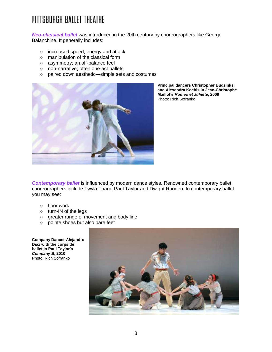*Neo-classical ballet* was introduced in the 20th century by choreographers like George Balanchine. It generally includes:

- increased speed, energy and attack
- manipulation of the classical form
- asymmetry; an off-balance feel
- non-narrative; often one-act ballets
- paired down aesthetic—simple sets and costumes



**Principal dancers Christopher Budzinksi and Alexandra Kochis in Jean-Christophe Maillot's** *Romeo et Juliette***, 2009** Photo: Rich Sofranko

*Contemporary ballet* is influenced by modern dance styles. Renowned contemporary ballet choreographers include Twyla Tharp, Paul Taylor and Dwight Rhoden. In contemporary ballet you may see:

- floor work
- turn-IN of the legs
- greater range of movement and body line
- pointe shoes but also bare feet

**Company Dancer Alejandro Diaz with the corps de ballet in Paul Taylor's**  *Company B***, 2010** Photo: Rich Sofranko

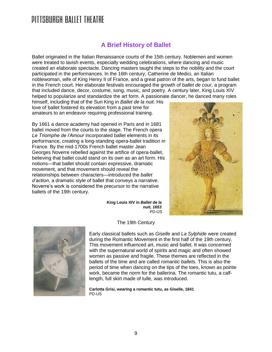### **A Brief History of Ballet**

Ballet originated in the Italian Renaissance courts of the 15th century. Noblemen and women were treated to lavish events, especially wedding celebrations, where dancing and music created an elaborate spectacle. Dancing masters taught the steps to the nobility and the court participated in the performances. In the 16th century, Catherine de Medici, an Italian noblewoman, wife of King Henry II of France, and a great patron of the arts, began to fund ballet in the French court. Her elaborate festivals encouraged the growth of *ballet de cour,* a program that included dance, decor, costume, song, music, and poetry. A century later, King Louis XIV helped to popularize and standardize the art form. A passionate dancer, he danced many roles

himself, including that of the Sun King in *Ballet de la nuit*. His love of ballet fostered its elevation from a past time for amateurs to an endeavor requiring professional training.

By 1661 a dance academy had opened in Paris and in 1681 ballet moved from the courts to the stage. The French opera *Le Triomphe de l'Amour* incorporated ballet elements in its performance, creating a long-standing opera-ballet tradition in France. By the mid-1700s French ballet master Jean Georges Noverre rebelled against the artifice of opera-ballet, believing that ballet could stand on its own as an art form. His notions—that ballet should contain expressive, dramatic movement, and that movement should reveal the relationships between characters—introduced the *ballet d'action*, a dramatic style of ballet that conveys a narrative. Noverre's work is considered the precursor to the narrative ballets of the 19th century.



 **King Louis XIV in** *Ballet de la nuit, 1653* PD-US



The 19th Century

Early classical ballets such as *Giselle* and *La Sylphide* were created during the Romantic Movement in the first half of the 19th century. This movement influenced art, music and ballet. It was concerned with the supernatural world of spirits and magic and often showed women as passive and fragile. These themes are reflected in the ballets of the time and are called *romantic ballets.* This is also the period of time when dancing on the tips of the toes, known as pointe work, became the norm for the ballerina. The romantic tutu, a calflength, full skirt made of tulle, was introduced.

**Carlotta Grisi, wearing a romantic tutu, as Giselle, 1841**  PD-US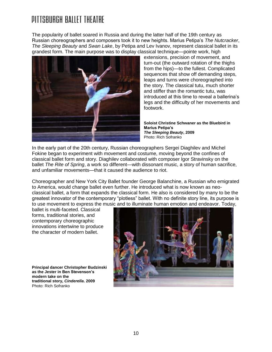The popularity of ballet soared in Russia and during the latter half of the 19th century as Russian choreographers and composers took it to new heights. Marius Petipa's *The Nutcracker*, *The Sleeping Beauty* and *Swan Lake*, by Petipa and Lev Ivanov, represent classical ballet in its grandest form. The main purpose was to display classical technique—pointe work, high



extensions, precision of movement, and turn-out (the outward rotation of the thighs from the hips)—to the fullest. Complicated sequences that show off demanding steps, leaps and turns were choreographed into the story. The classical tutu, much shorter and stiffer than the romantic tutu, was introduced at this time to reveal a ballerina's legs and the difficulty of her movements and footwork.

**Soloist Christine Schwaner as the Bluebird in Marius Petipa's**  *The Sleeping Beauty***, 2009** Photo: Rich Sofranko

In the early part of the 20th century, Russian choreographers Sergei Diaghilev and Michel Fokine began to experiment with movement and costume, moving beyond the confines of classical ballet form and story. Diaghilev collaborated with composer Igor Stravinsky on the ballet *The Rite of Spring*, a work so different—with dissonant music, a story of human sacrifice, and unfamiliar movements—that it caused the audience to riot.

Choreographer and New York City Ballet founder George Balanchine, a Russian who emigrated to America, would change ballet even further. He introduced what is now known as neoclassical ballet, a form that expands the classical form. He also is considered by many to be the greatest innovator of the contemporary "plotless" ballet. With no definite story line, its purpose is to use movement to express the music and to illuminate human emotion and endeavor. Today,

ballet is multi-faceted. Classical forms, traditional stories, and contemporary choreographic innovations intertwine to produce the character of modern ballet.

**Principal dancer Christopher Budzinski as the Jester in Ben Stevenson's modern take on the traditional story,** *Cinderella***. 2009** Photo: Rich Sofranko

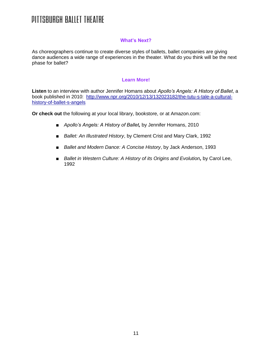#### **What's Next?**

As choreographers continue to create diverse styles of ballets, ballet companies are giving dance audiences a wide range of experiences in the theater. What do you think will be the next phase for ballet?

#### **Learn More!**

**Listen** to an interview with author Jennifer Homans about *Apollo's Angels: A History of Ballet*, a book published in 2010: [http://www.npr.org/2010/12/13/132023182/the-tutu-s-tale-a-cultural](http://www.npr.org/2010/12/13/132023182/the-tutu-s-tale-a-cultural-history-of-ballet-s-angels)[history-of-ballet-s-angels](http://www.npr.org/2010/12/13/132023182/the-tutu-s-tale-a-cultural-history-of-ballet-s-angels)

**Or check out** the following at your local library, bookstore, or at Amazon.com:

- *■ Apollo's Angels: A History of Ballet,* by Jennifer Homans, 2010
- *■ Ballet: An Illustrated History*, by Clement Crist and Mary Clark, 1992
- *■ Ballet and Modern Dance: A Concise History*, by Jack Anderson, 1993
- *■ Ballet in Western Culture: A History of its Origins and Evolution,* by Carol Lee, 1992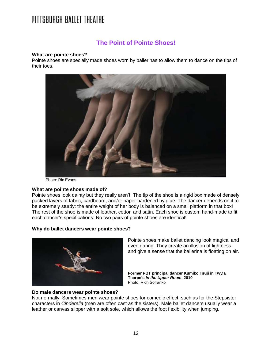### **The Point of Pointe Shoes!**

#### **What are pointe shoes?**

Pointe shoes are specially made shoes worn by ballerinas to allow them to dance on the tips of their toes.



Photo: Ric Evans

#### **What are pointe shoes made of?**

Pointe shoes look dainty but they really aren't. The tip of the shoe is a rigid box made of densely packed layers of fabric, cardboard, and/or paper hardened by glue. The dancer depends on it to be extremely sturdy: the entire weight of her body is balanced on a small platform in that box! The rest of the shoe is made of leather, cotton and satin. Each shoe is custom hand-made to fit each dancer's specifications. No two pairs of pointe shoes are identical!

#### **Why do ballet dancers wear pointe shoes?**



Pointe shoes make ballet dancing look magical and even daring. They create an illusion of lightness and give a sense that the ballerina is floating on air.

**Former PBT principal dancer Kumiko Tsuji in Twyla Tharpe's** *In the Upper Room***, 2010** Photo: Rich Sofranko

#### **Do male dancers wear pointe shoes?**

Not normally. Sometimes men wear pointe shoes for comedic effect, such as for the Stepsister characters in *Cinderella* (men are often cast as the sisters). Male ballet dancers usually wear a leather or canvas slipper with a soft sole, which allows the foot flexibility when jumping.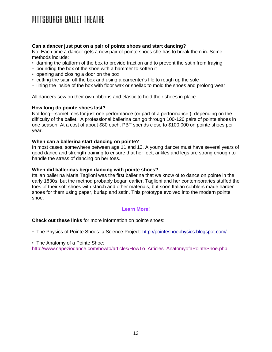#### **Can a dancer just put on a pair of pointe shoes and start dancing?**

No! Each time a dancer gets a new pair of pointe shoes she has to break them in. Some methods include:

- darning the platform of the box to provide traction and to prevent the satin from fraying
- pounding the box of the shoe with a hammer to soften it
- opening and closing a door on the box
- cutting the satin off the box and using a carpenter's file to rough up the sole
- lining the inside of the box with floor wax or shellac to mold the shoes and prolong wear

All dancers sew on their own ribbons and elastic to hold their shoes in place.

#### **How long do pointe shoes last?**

Not long—sometimes for just one performance (or part of a performance!), depending on the difficulty of the ballet. A professional ballerina can go through 100-120 pairs of pointe shoes in one season. At a cost of about \$80 each, PBT spends close to \$100,000 on pointe shoes per year.

#### **When can a ballerina start dancing on pointe?**

In most cases, somewhere between age 11 and 13. A young dancer must have several years of good dance and strength training to ensure that her feet, ankles and legs are strong enough to handle the stress of dancing on her toes.

#### **When did ballerinas begin dancing with pointe shoes?**

Italian ballerina Maria Taglioni was the first ballerina that we know of to dance on pointe in the early 1830s, but the method probably began earlier. Taglioni and her contemporaries stuffed the toes of their soft shoes with starch and other materials, but soon Italian cobblers made harder shoes for them using paper, burlap and satin. This prototype evolved into the modern pointe shoe.

#### **Learn More!**

#### **Check out these links** for more information on pointe shoes:

◦ The Physics of Pointe Shoes: a Science Project[:](http://pointeshoephysics.blogspot.com/) <http://pointeshoephysics.blogspot.com/>

◦ The Anatomy of a Pointe Shoe[:](http://www.capeziodance.com/howto/articles/HowTo_Articles_AnatomyofaPointeShoe.php)

[http://www.capeziodance.com/howto/articles/HowTo\\_Articles\\_AnatomyofaPointeShoe.php](http://www.capeziodance.com/howto/articles/HowTo_Articles_AnatomyofaPointeShoe.php)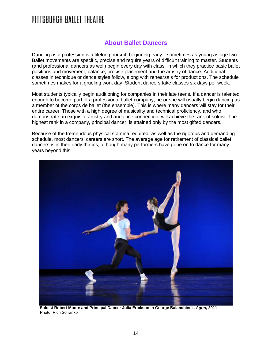### **About Ballet Dancers**

Dancing as a profession is a lifelong pursuit, beginning early—sometimes as young as age two. Ballet movements are specific, precise and require years of difficult training to master. Students (and professional dancers as well) begin every day with class, in which they practice basic ballet positions and movement, balance, precise placement and the artistry of dance. Additional classes in technique or dance styles follow, along with rehearsals for productions. The schedule sometimes makes for a grueling work day. Student dancers take classes six days per week.

Most students typically begin auditioning for companies in their late teens. If a dancer is talented enough to become part of a professional ballet company, he or she will usually begin dancing as a member of the corps de ballet (the ensemble). This is where many dancers will stay for their entire career. Those with a high degree of musicality and technical proficiency, and who demonstrate an exquisite artistry and audience connection, will achieve the rank of soloist. The highest rank in a company, principal dancer, is attained only by the most gifted dancers.

Because of the tremendous physical stamina required, as well as the rigorous and demanding schedule, most dancers' careers are short. The average age for retirement of classical ballet dancers is in their early thirties, although many performers have gone on to dance for many years beyond this.



 **Soloist Robert Moore and Principal Dancer Julia Erickson in George Balanchine's** *Agon***, 2011** Photo: Rich Sofranko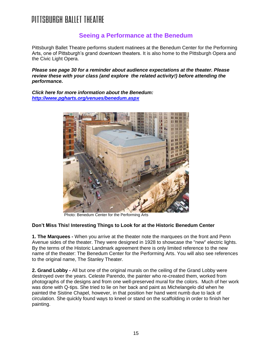### **Seeing a Performance at the Benedum**

Pittsburgh Ballet Theatre performs student matinees at the Benedum Center for the Performing Arts, one of Pittsburgh's grand downtown theaters. It is also home to the Pittsburgh Opera and the Civic Light Opera.

*Please see page 30 for a reminder about audience expectations at the theater. Please review these with your class (and explore the related activity!) before attending the performance.*

*Click here for more information about the Benedum: <http://www.pgharts.org/venues/benedum.aspx>*



Photo: Benedum Center for the Performing Arts

#### **Don't Miss This! Interesting Things to Look for at the Historic Benedum Center**

**1. The Marquees -** When you arrive at the theater note the marquees on the front and Penn Avenue sides of the theater. They were designed in 1928 to showcase the "new" electric lights. By the terms of the Historic Landmark agreement there is only limited reference to the new name of the theater: The Benedum Center for the Performing Arts. You will also see references to the original name, The Stanley Theater.

**2. Grand Lobby -** All but one of the original murals on the ceiling of the Grand Lobby were destroyed over the years. Celeste Parendo, the painter who re-created them, worked from photographs of the designs and from one well-preserved mural for the colors. Much of her work was done with Q-tips. She tried to lie on her back and paint as Michelangelo did when he painted the Sistine Chapel, however, in that position her hand went numb due to lack of circulation. She quickly found ways to kneel or stand on the scaffolding in order to finish her painting.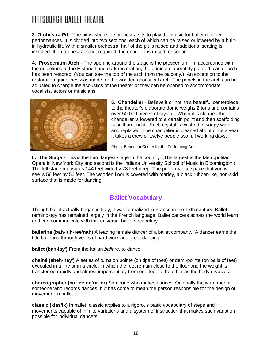### DITTSRURGH RAITET THEATRE

**3. Orchestra Pit** - The pit is where the orchestra sits to play the music for ballet or other performances. It is divided into two sections, each of which can be raised or lowered by a builtin hydraulic lift. With a smaller orchestra, half of the pit is raised and additional seating is installed. If an orchestra is not required, the entire pit is raised for seating.

**4. Proscenium Arch** - The opening around the stage is the proscenium. In accordance with the guidelines of the Historic Landmark restoration, the original elaborately painted plaster arch has been restored. (You can see the top of the arch from the balcony.) An exception to the restoration guidelines was made for the wooden acoustical arch. The panels in the arch can be adjusted to change the acoustics of the theater or they can be opened to accommodate vocalists, actors or musicians.



**5. Chandelier** - Believe it or not, this beautiful centerpiece to the theater's elaborate dome weighs 2 tons and contains over 50,000 pieces of crystal. When it is cleaned the chandelier is lowered to a certain point and then scaffolding is built around it. Each crystal is washed in soapy water and replaced. The chandelier is cleaned about once a year: it takes a crew of twelve people two full working days.

Photo: Benedum Center for the Performing Arts

**6. The Stage -** This is the third largest stage in the country. (The largest is the Metropolitan Opera in New York City and second is the Indiana University School of Music in Bloomington.) The full stage measures 144 feet wide by 78 feet deep. The performance space that you will see is 56 feet by 56 feet. The wooden floor is covered with marley, a black rubber-like, non-skid surface that is made for dancing.

### **Ballet Vocabulary**

Though ballet actually began in Italy, it was formalized in France in the 17th century. Ballet terminology has remained largely in the French language. Ballet dancers across the world learn and can communicate with this universal ballet vocabulary.

**ballerina (bah-luh-ree'nah)** A leading female dancer of a ballet company. A dancer earns the title ballerina through years of hard work and great dancing.

**ballet (bah-lay')** From the Italian *ballare,* to dance.

**chainé (sheh-nay')** A series of turns on pointe (on tips of toes) or demi-pointe (on balls of feet) executed in a line or in a circle, in which the feet remain close to the floor and the weight is transferred rapidly and almost imperceptibly from one foot to the other as the body revolves.

**choreographer (cor-ee-og'ra-fer)** Someone who makes dances. Originally the word meant someone who records dances, but has come to mean the person responsible for the design of movement in ballet.

**classic (klas'ik)** In ballet, classic applies to a rigorous basic vocabulary of steps and movements capable of infinite variations and a system of instruction that makes such variation possible for individual dancers.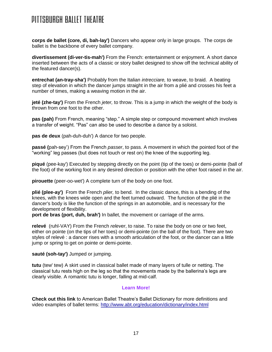**corps de ballet (core, di, bah-lay')** Dancers who appear only in large groups. The corps de ballet is the backbone of every ballet company.

**divertissement (di-ver-tis-mah')** From the French: entertainment or enjoyment. A short dance inserted between the acts of a classic or story ballet designed to show off the technical ability of the featured dancer(s).

**entrechat (an-tray-sha')** Probably from the Italian *intrecciare,* to weave, to braid. A beating step of elevation in which the dancer jumps straight in the air from a plié and crosses his feet a number of times, making a weaving motion in the air.

**jeté (zhe-tay')** From the French *jeter,* to throw. This is a jump in which the weight of the body is thrown from one foot to the other.

**pas (pah)** From French, meaning "step." A simple step or compound movement which involves a transfer of weight. "Pas" can also be used to describe a dance by a soloist.

**pas de deux** (pah-duh-duh') A dance for two people.

**passé (**pah-sey') From the French *passer*, to pass. A movement in which the pointed foot of the "working" leg passes (but does not touch or rest on) the knee of the supporting leg.

**piqué** (pee-kay') Executed by stepping directly on the point (tip of the toes) or demi-pointe (ball of the foot) of the working foot in any desired direction or position with the other foot raised in the air.

**pirouette** (peer-oo-wet') A complete turn of the body on one foot.

**plié (plee-ay')** From the French *plier,* to bend. In the classic dance, this is a bending of the knees, with the knees wide open and the feet turned outward. The function of the plié in the dancer's body is like the function of the springs in an automobile, and is necessary for the development of flexibility.

**port de bras (port, duh, brah')** In ballet, the movement or carriage of the arms.

**relevé** (ruhl-VAY) From the French *relever*, to raise. To raise the body on one or two feet, either on pointe (on the tips of her toes) or demi-pointe (on the ball of the foot). There are two styles of relevé : a dancer rises with a smooth articulation of the foot, or the dancer can a little jump or spring to get on pointe or demi-pointe.

**sauté (soh-tay')** Jumped or jumping.

**tutu** (tew' tew) A skirt used in classical ballet made of many layers of tulle or netting. The classical tutu rests high on the leg so that the movements made by the ballerina's legs are clearly visible. A romantic tutu is longer, falling at mid-calf.

#### **Learn More!**

**Check out this link** to American Ballet Theatre's Ballet Dictionary for more definitions and video examples of ballet terms:<http://www.abt.org/education/dictionary/index.html>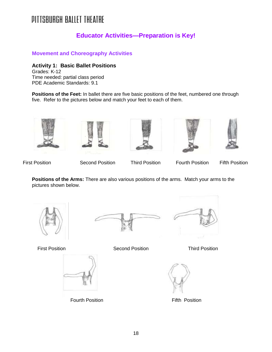### **Educator Activities—Preparation is Key!**

**Movement and Choreography Activities**

**Activity 1: Basic Ballet Positions** Grades: K-12

Time needed: partial class period PDE Academic Standards: 9.1

**Positions of the Feet:** In ballet there are five basic positions of the feet, numbered one through five. Refer to the pictures below and match your feet to each of them.











First Position Second Position Third Position Fourth Position Fifth Position

**Positions of the Arms:** There are also various positions of the arms. Match your arms to the pictures shown below.









Fourth Position **Figure 1** Fifth Position

First Position Second Position Third Position

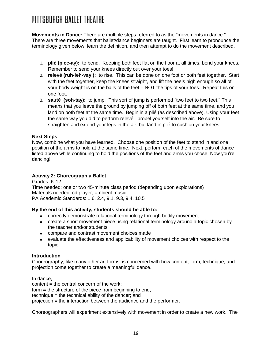### DITTSRURGH RAITET THEATRE

**Movements in Dance:** There are multiple steps referred to as the "movements in dance." There are three movements that ballet/dance beginners are taught. First learn to pronounce the terminology given below, learn the definition, and then attempt to do the movement described.

- 1. **plié (plee-ay):** to bend. Keeping both feet flat on the floor at all times, bend your knees. Remember to send your knees directly out over your toes!
- 2. **relevé (ruh-leh-vay'):** to rise. This can be done on one foot or both feet together. Start with the feet together, keep the knees straight, and lift the heels high enough so all of your body weight is on the balls of the feet – NOT the tips of your toes. Repeat this on one foot.
- 3. **sauté (soh-tay):** to jump. This sort of jump is performed "two feet to two feet." This means that you leave the ground by jumping off of both feet at the same time, and you land on both feet at the same time. Begin in a plié (as described above). Using your feet the same way you did to perform relevé, propel yourself into the air. Be sure to straighten and extend your legs in the air, but land in plié to cushion your knees.

#### **Next Steps**

Now, combine what you have learned. Choose one position of the feet to stand in and one position of the arms to hold at the same time. Next, perform each of the movements of dance listed above while continuing to hold the positions of the feet and arms you chose. Now you're dancing!

#### **Activity 2: Choreograph a Ballet**

Grades: K-12 Time needed: one or two 45-minute class period (depending upon explorations) Materials needed: cd player, ambient music PA Academic Standards: 1.6, 2.4, 9.1, 9.3, 9.4, 10.5

#### **By the end of this activity, students should be able to:**

- correctly demonstrate relational terminology through bodily movement
- create a short movement piece using relational terminology around a topic chosen by the teacher and/or students
- compare and contrast movement choices made
- evaluate the effectiveness and applicability of movement choices with respect to the topic

#### **Introduction**

Choreography, like many other art forms, is concerned with how content, form, technique, and projection come together to create a meaningful dance.

In dance,

content = the central concern of the work;

form = the structure of the piece from beginning to end;

technique = the technical ability of the dancer; and

projection = the interaction between the audience and the performer.

Choreographers will experiment extensively with movement in order to create a new work. The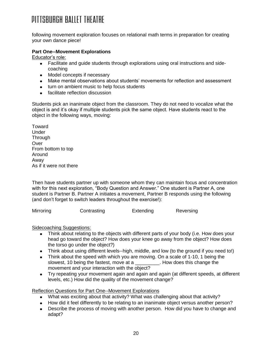following movement exploration focuses on relational math terms in preparation for creating your own dance piece!

#### **Part One--Movement Explorations**

Educator's role:

- Facilitate and guide students through explorations using oral instructions and side- $\bullet$ coaching
- Model concepts if necessary
- Make mental observations about students' movements for reflection and assessment
- turn on ambient music to help focus students
- facilitate reflection discussion

Students pick an inanimate object from the classroom. They do not need to vocalize what the object is and it's okay if multiple students pick the same object. Have students react to the object in the following ways, moving:

Toward Under **Through Over** From bottom to top Around Away As if it were not there

Then have students partner up with someone whom they can maintain focus and concentration with for this next exploration, "Body Question and Answer." One student is Partner A, one student is Partner B. Partner A initiates a movement, Partner B responds using the following (and don't forget to switch leaders throughout the exercise!):

Mirroring Contrasting Extending Reversing

Sidecoaching Suggestions:

- Think about relating to the objects with different parts of your body (i.e. How does your  $\bullet$ head go toward the object? How does your knee go away from the object? How does the torso go under the object?)
- Think about using different levels--high, middle, and low (to the ground if you need to!)
- Think about the speed with which you are moving. On a scale of 1-10, 1 being the slowest, 10 being the fastest, move at a \_\_\_\_\_\_\_\_\_. How does this change the movement and your interaction with the object?
- Try repeating your movement again and again and again (at different speeds, at different levels, etc.) How did the quality of the movement change?

Reflection Questions for Part One--Movement Explorations

- What was exciting about that activity? What was challenging about that activity?
- How did it feel differently to be relating to an inanimate object versus another person?
- Describe the process of moving with another person. How did you have to change and adapt?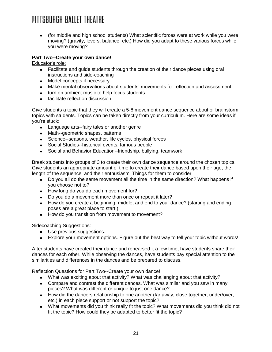$\bullet$ (for middle and high school students) What scientific forces were at work while you were moving? (gravity, levers, balance, etc.) How did you adapt to these various forces while you were moving?

#### **Part Two--Create your own dance!**

Educator's role:

- Facilitate and guide students through the creation of their dance pieces using oral instructions and side-coaching
- Model concepts if necessary
- Make mental observations about students' movements for reflection and assessment
- turn on ambient music to help focus students
- facilitate reflection discussion

Give students a topic that they will create a 5-8 movement dance sequence about or brainstorm topics with students. Topics can be taken directly from your curriculum. Here are some ideas if you're stuck:

- Language arts--fairy tales or another genre
- Math--geometric shapes, patterns
- Science--seasons, weather, life cycles, physical forces
- Social Studies--historical events, famous people
- Social and Behavior Education--friendship, bullying, teamwork

Break students into groups of 3 to create their own dance sequence around the chosen topics. Give students an appropriate amount of time to create their dance based upon their age, the length of the sequence, and their enthusiasm. Things for them to consider:

- Do you all do the same movement all the time in the same direction? What happens if you choose not to?
- How long do you do each movement for?
- Do you do a movement more than once or repeat it later?
- How do you create a beginning, middle, and end to your dance? (starting and ending poses are a great place to start!)
- How do you transition from movement to movement?

#### Sidecoaching Suggestions:

- Use previous suggestions.
- Explore your movement options. Figure out the best way to tell your topic without words!

After students have created their dance and rehearsed it a few time, have students share their dances for each other. While observing the dances, have students pay special attention to the similarities and differences in the dances and be prepared to discuss.

Reflection Questions for Part Two--Create your own dance!

- What was exciting about that activity? What was challenging about that activity?
- Compare and contrast the different dances. What was similar and you saw in many pieces? What was different or unique to just one dance?
- How did the dancers relationship to one another (far away, close together, under/over, etc.) in each piece support or not support the topic?
- What movements did you think really fit the topic? What movements did you think did not fit the topic? How could they be adapted to better fit the topic?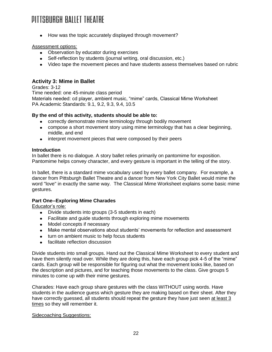• How was the topic accurately displayed through movement?

#### Assessment options:

- Observation by educator during exercises
- Self-reflection by students (journal writing, oral discussion, etc.)
- Video tape the movement pieces and have students assess themselves based on rubric

#### **Activity 3: Mime in Ballet**

Grades: 3-12

Time needed: one 45-minute class period Materials needed: cd player, ambient music, "mime" cards, Classical Mime Worksheet PA Academic Standards: 9.1, 9.2, 9.3, 9.4, 10.5

#### **By the end of this activity, students should be able to:**

- correctly demonstrate mime terminology through bodily movement
- compose a short movement story using mime terminology that has a clear beginning, middle, and end
- interpret movement pieces that were composed by their peers

#### **Introduction**

In ballet there is no dialogue. A story ballet relies primarily on pantomime for exposition. Pantomime helps convey character, and every gesture is important in the telling of the story.

In ballet, there is a standard mime vocabulary used by every ballet company. For example, a dancer from Pittsburgh Ballet Theatre and a dancer from New York City Ballet would mime the word "love" in exactly the same way. The Classical Mime Worksheet explains some basic mime gestures.

#### **Part One--Exploring Mime Charades**

Educator's role:

- Divide students into groups (3-5 students in each)
- Facilitate and guide students through exploring mime movements
- Model concepts if necessary
- Make mental observations about students' movements for reflection and assessment
- turn on ambient music to help focus students
- facilitate reflection discussion

Divide students into small groups. Hand out the Classical Mime Worksheet to every student and have them silently read over. While they are doing this, have each group pick 4-5 of the "mime" cards. Each group will be responsible for figuring out what the movement looks like, based on the description and pictures, and for teaching those movements to the class. Give groups 5 minutes to come up with their mime gestures.

Charades: Have each group share gestures with the class WITHOUT using words. Have students in the audience guess which gesture they are making based on their sheet. After they have correctly guessed, all students should repeat the gesture they have just seen at least 3 times so they will remember it.

#### Sidecoaching Suggestions: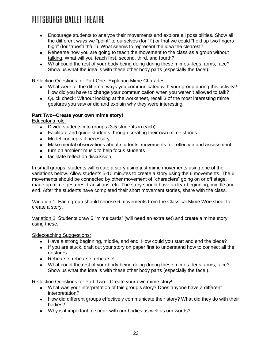- Encourage students to analyze their movements and explore all possibilities. Show all the diifferent ways we "point" to ourselves (for "I") or that we could "hold up two fingers high" (for "true/faithful"). What seems to represent the idea the clearest?
- Rehearse how you are going to teach the movement to the class as a group without talking. What will you teach first, second, third, and fourth?
- What could the rest of your body being doing during these mimes--legs, arms, face? Show us what the idea is with these other body parts (especially the face!).

Reflection Questions for Part One--Exploring Mime Charades

- What were all the different ways you communicated with your group during this activity? How did you have to change your communication when you weren't allowed to talk?
- Quick check: Without looking at the worksheet, recall 3 of the most interesting mime gestures you saw or did and explain why they were interesting.

#### **Part Two--Create your own mime story!**

Educator's role:

- Divide students into groups (3-5 students in each)
- Facilitate and guide students through creating their own mime stories
- Model concepts if necessary
- Make mental observations about students' movements for reflection and assessment
- turn on ambient music to help focus students
- facilitate reflection discussion

In small groups, students will create a story using just mime movements using one of the variations below. Allow students 5-10 minutes to create a story using the 6 movements. The 6 movements should be connected by other movement of "characters" going on or off stage, made up mime gestures, transitions, etc. The story should have a clear beginning, middle and end. After the students have completed their short movement stories, share with the class.

Variation 1: Each group should choose 6 movements from the Classical Mime Worksheet to create a story.

Variation 2: Students draw 6 "mime cards" (will need an extra set) and create a mime story using these.

Sidecoaching Suggestions:

- Have a strong beginning, middle, and end. How could you start and end the piece?
- If you are stuck, draft out your story on paper first to understand how to connect all the  $\bullet$ gestures.
- Rehearse, rehearse, rehearse!
- What could the rest of your body being doing during these mimes--legs, arms, face? Show us what the idea is with these other body parts (especially the face!).

Reflection Questions for Part Two—Create your own mime story!

- What was your interpretation of this group's story? Does anyone have a different interpretation?
- How did different groups effectively communicate their story? What did they do with their bodies?
- Why is it important to speak with our bodies as well as our words?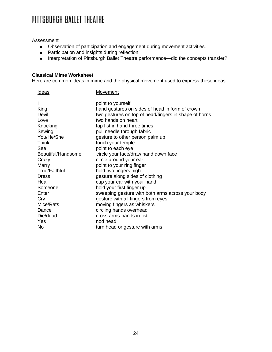#### Assessment

- Observation of participation and engagement during movement activities.
- Participation and insights during reflection.
- Interpretation of Pittsburgh Ballet Theatre performance—did the concepts transfer?

#### **Classical Mime Worksheet**

Here are common ideas in mime and the physical movement used to express these ideas.

| <u>Ideas</u>         | <b>Movement</b>                                       |
|----------------------|-------------------------------------------------------|
|                      | point to yourself                                     |
| King                 | hand gestures on sides of head in form of crown       |
| Devil                | two gestures on top of head/fingers in shape of horns |
| Love                 | two hands on heart                                    |
| Knocking             | tap fist in hand three times                          |
| Sewing               | pull needle through fabric                            |
| You/He/She           | gesture to other person palm up                       |
| <b>Think</b>         | touch your temple                                     |
| See                  | point to each eye                                     |
| Beautiful/Handsome   | circle your face/draw hand down face                  |
| Crazy                | circle around your ear                                |
| Marry                | point to your ring finger                             |
| <b>True/Faithful</b> | hold two fingers high                                 |
| Dress                | gesture along sides of clothing                       |
| Hear                 | cup your ear with your hand                           |
| Someone              | hold your first finger up                             |
| Enter                | sweeping gesture with both arms across your body      |
| Cry                  | gesture with all fingers from eyes                    |
| Mice/Rats            | moving fingers as whiskers                            |
| Dance                | circling hands overhead                               |
| Die/dead             | cross arms-hands in fist                              |
| Yes                  | nod head                                              |
| No.                  | turn head or gesture with arms                        |
|                      |                                                       |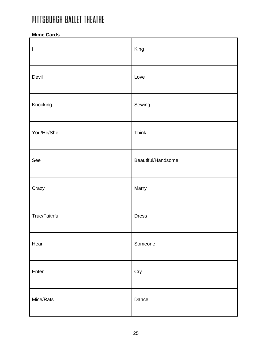#### **Mime Cards**

| $\begin{array}{c} \hline \end{array}$ | King               |
|---------------------------------------|--------------------|
| Devil                                 | Love               |
| Knocking                              | Sewing             |
| You/He/She                            | Think              |
| See                                   | Beautiful/Handsome |
| Crazy                                 | Marry              |
| True/Faithful                         | <b>Dress</b>       |
| Hear                                  | Someone            |
| Enter                                 | Cry                |
| Mice/Rats                             | Dance              |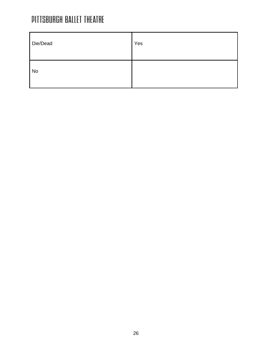| Die/Dead  | Yes |
|-----------|-----|
| <b>No</b> |     |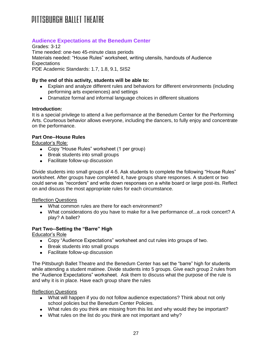#### **Audience Expectations at the Benedum Center**

Grades: 3-12 Time needed: one-two 45-minute class periods Materials needed: "House Rules" worksheet, writing utensils, handouts of Audience **Expectations** PDE Academic Standards: 1.7, 1.8, 9.1, SIS2

#### **By the end of this activity, students will be able to:**

- Explain and analyze different rules and behaviors for different environments (including performing arts experiences) and settings
- Dramatize formal and informal language choices in different situations

#### **Introduction:**

It is a special privilege to attend a live performance at the Benedum Center for the Performing Arts. Courteous behavior allows everyone, including the dancers, to fully enjoy and concentrate on the performance.

#### **Part One--House Rules**

Educator's Role:

- Copy "House Rules" worksheet (1 per group)
- Break students into small groups
- Facilitate follow-up discussion

Divide students into small groups of 4-5. Ask students to complete the following "House Rules" worksheet. After groups have completed it, have groups share responses. A student or two could serve as "recorders" and write down responses on a white board or large post-its. Reflect on and discuss the most appropriate rules for each circumstance.

#### Reflection Questions

- What common rules are there for each environment?
- What considerations do you have to make for a live performance of...a rock concert? A play? A ballet?

#### **Part Two--Setting the "Barre" High**

Educator's Role

- Copy "Audience Expectations" worksheet and cut rules into groups of two.
- Break students into small groups
- Facilitate follow-up discussion

The Pittsburgh Ballet Theatre and the Benedum Center has set the "barre" high for students while attending a student matinee. Divide students into 5 groups. Give each group 2 rules from the "Audience Expectations" worksheet. Ask them to discuss what the purpose of the rule is and why it is in place. Have each group share the rules

#### Reflection Questions

- What will happen if you do not follow audience expectations? Think about not only school policies but the Benedum Center Policies.
- What rules do you think are missing from this list and why would they be important?
- What rules on the list do you think are not important and why?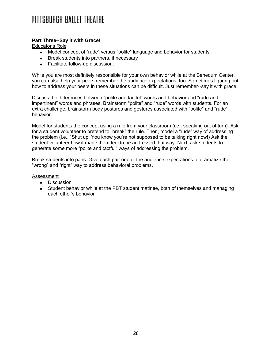#### **Part Three--Say it with Grace!**

Educator's Role

- Model concept of "rude" versus "polite" language and behavior for students
- Break students into partners, if necessary
- Facilitate follow-up discussion.

While you are most definitely responsible for your own behavior while at the Benedum Center, you can also help your peers remember the audience expectations, too. Sometimes figuring out how to address your peers in these situations can be difficult. Just remember--say it with grace!

Discuss the differences between "polite and tactful" words and behavior and "rude and impertinent" words and phrases. Brainstorm "polite" and "rude" words with students. For an extra challenge, brainstorm body postures and gestures associated with "polite" and "rude" behavior.

Model for students the concept using a rule from your classroom (i.e., speaking out of turn). Ask for a student volunteer to pretend to "break" the rule. Then, model a "rude" way of addressing the problem (i.e., "Shut up! You know you're not supposed to be talking right now!) Ask the student volunteer how it made them feel to be addressed that way. Next, ask students to generate some more "polite and tactful" ways of addressing the problem.

Break students into pairs. Give each pair one of the audience expectations to dramatize the "wrong" and "right" way to address behavioral problems.

Assessment

- Discussion
- Student behavior while at the PBT student matinee, both of themselves and managing each other's behavior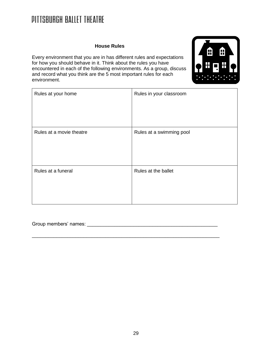#### **House Rules**

Every environment that you are in has different rules and expectations for how you should behave in it. Think about the rules you have encountered in each of the following environments. As a group, discuss and record what you think are the 5 most important rules for each environment.



| Rules at your home       | Rules in your classroom  |
|--------------------------|--------------------------|
| Rules at a movie theatre | Rules at a swimming pool |
| Rules at a funeral       | Rules at the ballet      |

\_\_\_\_\_\_\_\_\_\_\_\_\_\_\_\_\_\_\_\_\_\_\_\_\_\_\_\_\_\_\_\_\_\_\_\_\_\_\_\_\_\_\_\_\_\_\_\_\_\_\_\_\_\_\_\_\_\_\_\_\_\_\_\_\_\_\_\_\_

Group members' names: \_\_\_\_\_\_\_\_\_\_\_\_\_\_\_\_\_\_\_\_\_\_\_\_\_\_\_\_\_\_\_\_\_\_\_\_\_\_\_\_\_\_\_\_\_\_\_\_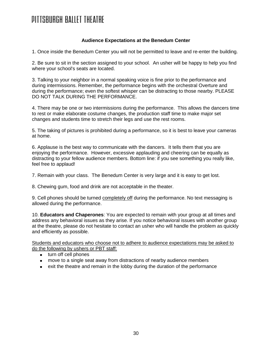#### **Audience Expectations at the Benedum Center**

1. Once inside the Benedum Center you will not be permitted to leave and re-enter the building.

2. Be sure to sit in the section assigned to your school. An usher will be happy to help you find where your school's seats are located.

3. Talking to your neighbor in a normal speaking voice is fine prior to the performance and during intermissions. Remember, the performance begins with the orchestral Overture and during the performance; even the softest whisper can be distracting to those nearby. PLEASE DO NOT TALK DURING THE PERFORMANCE.

4. There may be one or two intermissions during the performance. This allows the dancers time to rest or make elaborate costume changes, the production staff time to make major set changes and students time to stretch their legs and use the rest rooms.

5. The taking of pictures is prohibited during a performance, so it is best to leave your cameras at home.

6. Applause is the best way to communicate with the dancers. It tells them that you are enjoying the performance. However, excessive applauding and cheering can be equally as distracting to your fellow audience members. Bottom line: if you see something you really like, feel free to applaud!

7. Remain with your class. The Benedum Center is very large and it is easy to get lost.

8. Chewing gum, food and drink are not acceptable in the theater.

9. Cell phones should be turned completely off during the performance. No text messaging is allowed during the performance.

10. **Educators and Chaperones**: You are expected to remain with your group at all times and address any behavioral issues as they arise. If you notice behavioral issues with another group at the theatre, please do not hesitate to contact an usher who will handle the problem as quickly and efficiently as possible.

Students and educators who choose not to adhere to audience expectations may be asked to do the following by ushers or PBT staff:

- turn off cell phones
- move to a single seat away from distractions of nearby audience members
- exit the theatre and remain in the lobby during the duration of the performance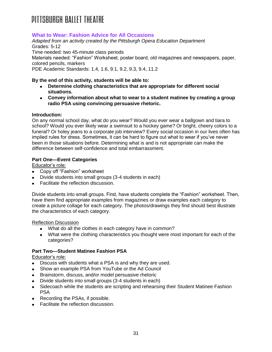#### **What to Wear: Fashion Advice for All Occasions**

*Adapted from an activity created by the Pittsburgh Opera Education Department* Grades: 5-12 Time needed: two 45-minute class periods Materials needed: "Fashion" Worksheet, poster board, old magazines and newspapers, paper, colored pencils, markers PDE Academic Standards: 1.4, 1.6, 9.1, 9.2, 9.3, 9.4, 11.2

#### **By the end of this activity, students will be able to:**

- **Determine clothing characteristics that are appropriate for different social situations.**
- **Convey information about what to wear to a student matinee by creating a group radio PSA using convincing persuasive rhetoric.**

#### **Introduction:**

On any normal school day, what do you wear? Would you ever wear a ballgown and tiara to school? Would you ever likely wear a swimsuit to a hockey game? Or bright, cheery colors to a funeral? Or holey jeans to a corporate job interview? Every social occasion in our lives often has implied rules for dress. Sometimes, it can be hard to figure out what to wear if you've never been in those situations before. Determining what is and is not appropriate can make the difference between self-confidence and total embarrassment.

#### **Part One—Event Categories**

Educator's role:

- Copy off "Fashion" worksheet
- Divide students into small groups (3-4 students in each)
- Facilitate the reflection discussion.

Divide students into small groups. First, have students complete the "Fashion" worksheet. Then, have them find appropriate examples from magazines or draw examples each category to create a picture collage for each category. The photos/drawings they find should best illustrate the characteristics of each category.

#### Reflection Discussion

- What do all the clothes in each category have in common?
- What were the clothing characteristics you thought were most important for each of the categories?

#### **Part Two—Student Matinee Fashion PSA**

#### Educator's role:

- Discuss with students what a PSA is and why they are used.
- Show an example PSA from YouTube or the Ad Council  $\bullet$
- Brainstorm, discuss, and/or model persuasive rhetoric
- Divide students into small groups (3-4 students in each)
- Sidecoach while the students are scripting and rehearsing their Student Matinee Fashion  $\bullet$ PSA
- Recording the PSAs, if possible.
- Facilitate the reflection discussion.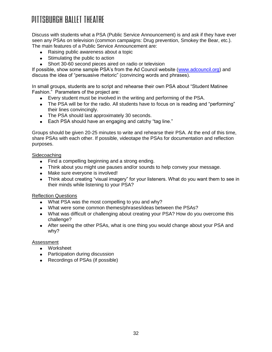Discuss with students what a PSA (Public Service Announcement) is and ask if they have ever seen any PSAs on television (common campaigns: Drug prevention, Smokey the Bear, etc.). The main features of a Public Service Announcement are:

- Raising public awareness about a topic
- Stimulating the public to action
- Short 30-60 second pieces aired on radio or television

If possible, show some sample PSA's from the Ad Council website [\(www.adcouncil.org\)](http://www.adcouncil.org/) and discuss the idea of "persuasive rhetoric" (convincing words and phrases).

In small groups, students are to script and rehearse their own PSA about "Student Matinee Fashion." Parameters of the project are:

- Every student must be involved in the writing and performing of the PSA.
- The PSA will be for the radio. All students have to focus on is reading and "performing" their lines convincingly.
- The PSA should last approximately 30 seconds.
- Each PSA should have an engaging and catchy "tag line."

Groups should be given 20-25 minutes to write and rehearse their PSA. At the end of this time, share PSAs with each other. If possible, videotape the PSAs for documentation and reflection purposes.

#### Sidecoaching

- Find a compelling beginning and a strong ending.
- Think about you might use pauses and/or sounds to help convey your message.
- Make sure everyone is involved!
- Think about creating "visual imagery" for your listeners. What do you want them to see in  $\bullet$ their minds while listening to your PSA?

#### Reflection Questions

- What PSA was the most compelling to you and why?
- What were some common themes/phrases/ideas between the PSAs?
- What was difficult or challenging about creating your PSA? How do you overcome this challenge?
- After seeing the other PSAs, what is one thing you would change about your PSA and why?

#### Assessment

- Worksheet
- Participation during discussion
- Recordings of PSAs (if possible)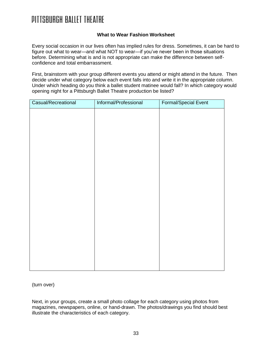#### **What to Wear Fashion Worksheet**

Every social occasion in our lives often has implied rules for dress. Sometimes, it can be hard to figure out what to wear—and what NOT to wear—if you've never been in those situations before. Determining what is and is not appropriate can make the difference between selfconfidence and total embarrassment.

First, brainstorm with your group different events you attend or might attend in the future. Then decide under what category below each event falls into and write it in the appropriate column. Under which heading do you think a ballet student matinee would fall? In which category would opening night for a Pittsburgh Ballet Theatre production be listed?

| Casual/Recreational | Informal/Professional | Formal/Special Event |
|---------------------|-----------------------|----------------------|
|                     |                       |                      |
|                     |                       |                      |
|                     |                       |                      |
|                     |                       |                      |
|                     |                       |                      |
|                     |                       |                      |
|                     |                       |                      |
|                     |                       |                      |
|                     |                       |                      |
|                     |                       |                      |
|                     |                       |                      |
|                     |                       |                      |
|                     |                       |                      |
|                     |                       |                      |
|                     |                       |                      |
|                     |                       |                      |
|                     |                       |                      |

(turn over)

Next, in your groups, create a small photo collage for each category using photos from magazines, newspapers, online, or hand-drawn. The photos/drawings you find should best illustrate the characteristics of each category.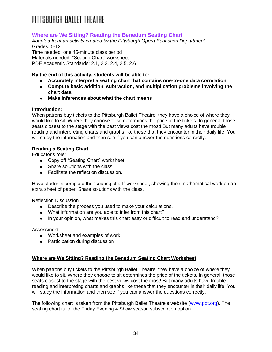#### **Where are We Sitting? Reading the Benedum Seating Chart**

*Adapted from an activity created by the Pittsburgh Opera Education Department* Grades: 5-12 Time needed: one 45-minute class period Materials needed: "Seating Chart" worksheet

PDE Academic Standards: 2.1, 2.2, 2.4, 2.5, 2.6

#### **By the end of this activity, students will be able to:**

- **Accurately interpret a seating chart that contains one-to-one data correlation**
- **Compute basic addition, subtraction, and multiplication problems involving the chart data**
- **Make inferences about what the chart means**

#### **Introduction:**

When patrons buy tickets to the Pittsburgh Ballet Theatre, they have a choice of where they would like to sit. Where they choose to sit determines the price of the tickets. In general, those seats closest to the stage with the best views cost the most! But many adults have trouble reading and interpreting charts and graphs like these that they encounter in their daily life. You will study the information and then see if you can answer the questions correctly.

#### **Reading a Seating Chart**

Educator's role:

- Copy off "Seating Chart" worksheet
- Share solutions with the class.
- Facilitate the reflection discussion.

Have students complete the "seating chart" worksheet, showing their mathematical work on an extra sheet of paper. Share solutions with the class.

#### Reflection Discussion

- Describe the process you used to make your calculations.
- What information are you able to infer from this chart?
- In your opinion, what makes this chart easy or difficult to read and understand?

#### Assessment

- Worksheet and examples of work
- Participation during discussion

#### **Where are We Sitting? Reading the Benedum Seating Chart Worksheet**

When patrons buy tickets to the Pittsburgh Ballet Theatre, they have a choice of where they would like to sit. Where they choose to sit determines the price of the tickets. In general, those seats closest to the stage with the best views cost the most! But many adults have trouble reading and interpreting charts and graphs like these that they encounter in their daily life. You will study the information and then see if you can answer the questions correctly.

The following chart is taken from the Pittsburgh Ballet Theatre's website [\(www.pbt.org\)](http://www.pbt.org/). The seating chart is for the Friday Evening 4 Show season subscription option.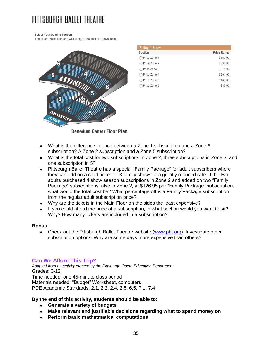# DITTSRURGH RAILET THEATRE

Select Your Seating Section

You select the section and we'll suggest the best seats available.



| <b>Price Range</b> |
|--------------------|
| \$363.00           |
| \$333.00           |
| \$241.00           |
| \$201.00           |
| \$160.00           |
| \$85.00            |
|                    |

**Benedum Center Floor Plan** 

- What is the difference in price between a Zone 1 subscription and a Zone 6 subscription? A Zone 2 subscription and a Zone 5 subscription?
- What is the total cost for two subscriptions in Zone 2, three subscriptions in Zone 3, and one subscription in 5?
- Pittsburgh Ballet Theatre has a special "Family Package" for adult subscribers where  $\bullet$ they can add on a child ticket for 3 family shows at a greatly reduced rate. If the two adults purchased 4 show season subscriptions in Zone 2 and added on two "Family Package" subscriptions, also in Zone 2, at \$126.95 per "Family Package" subscription, what would the total cost be? What percentage off is a Family Package subscription from the regular adult subscription price?
- Why are the tickets in the Main Floor on the sides the least expensive?
- If you could afford the price of a subscription, in what section would you want to sit? Why? How many tickets are included in a subscription?

#### **Bonus**

 $\bullet$ Check out the Pittsburgh Ballet Theatre website [\(www.pbt.org\)](http://www.pbt.org/). Investigate other subscription options. Why are some days more expensive than others?

#### **Can We Afford This Trip?**

*Adapted from an activity created by the Pittsburgh Opera Education Department* Grades: 3-12 Time needed: one 45-minute class period Materials needed: "Budget" Worksheet, computers PDE Academic Standards: 2.1, 2.2, 2.4, 2.5, 6.5, 7.1, 7.4

#### **By the end of this activity, students should be able to:**

- **Generate a variety of budgets**
- **Make relevant and justifiable decisions regarding what to spend money on**
- **Perform basic mathetmatical computations**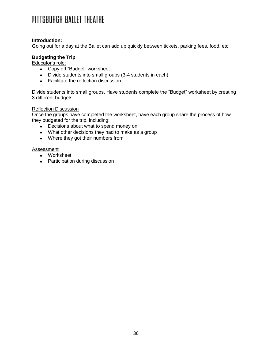#### **Introduction:**

Going out for a day at the Ballet can add up quickly between tickets, parking fees, food, etc.

#### **Budgeting the Trip**

Educator's role:

- Copy off "Budget" worksheet
- Divide students into small groups (3-4 students in each)
- **•** Facilitate the reflection discussion.

Divide students into small groups. Have students complete the "Budget" worksheet by creating 3 different budgets.

#### Reflection Discussion

Once the groups have completed the worksheet, have each group share the process of how they budgeted for the trip, including:

- Decisions about what to spend money on
- What other decisions they had to make as a group
- Where they got their numbers from

#### Assessment

- Worksheet
- Participation during discussion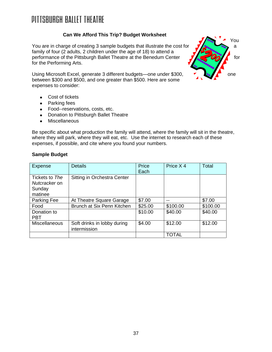#### **Can We Afford This Trip? Budget Worksheet**

You are in charge of creating 3 sample budgets that illustrate the cost for  $\sqrt{2}$  a family of four (2 adults, 2 children under the age of 18) to attend a performance of the Pittsburgh Ballet Theatre at the Benedum Center  $\frac{1}{\sqrt{2}}$  **for** for for the Performing Arts.

Using Microsoft Excel, generate 3 different budgets—one under \$300, between \$300 and \$500, and one greater than \$500. Here are some expenses to consider:

- Cost of tickets
- Parking fees
- Food--reservations, costs, etc.
- Donation to Pittsburgh Ballet Theatre
- Miscellaneous  $\bullet$

Be specific about what production the family will attend, where the family will sit in the theatre, where they will park, where they will eat, etc. Use the internet to research each of these expenses, if possible, and cite where you found your numbers.

#### **Sample Budget**

| <b>Expense</b>                                       | <b>Details</b>                              | Price<br>Each | Price X 4    | Total    |
|------------------------------------------------------|---------------------------------------------|---------------|--------------|----------|
| Tickets to The<br>Nutcracker on<br>Sunday<br>matinee | Sitting in Orchestra Center                 |               |              |          |
| Parking Fee                                          | At Theatre Square Garage                    | \$7.00        | --           | \$7.00   |
| Food                                                 | Brunch at Six Penn Kitchen                  | \$25.00       | \$100.00     | \$100.00 |
| Donation to<br><b>PBT</b>                            |                                             | \$10.00       | \$40.00      | \$40.00  |
| <b>Miscellaneous</b>                                 | Soft drinks in lobby during<br>intermission | \$4.00        | \$12.00      | \$12.00  |
|                                                      |                                             |               | <b>TOTAL</b> |          |

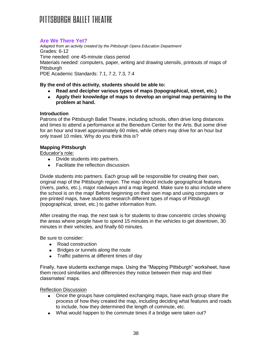#### **Are We There Yet?**

*Adapted from an activity created by the Pittsburgh Opera Education Department* Grades: 6-12 Time needed: one 45-minute class period Materials needed: computers, paper, writing and drawing utensils, printouts of maps of **Pittsburgh** PDE Academic Standards: 7.1, 7.2, 7.3, 7.4

#### **By the end of this activity, students should be able to:**

- **Read and decipher various types of maps (topographical, street, etc.)**
- **Apply their knowledge of maps to develop an original map pertaining to the problem at hand.**

#### **Introduction**

Patrons of the Pittsburgh Ballet Theatre, including schools, often drive long distances and times to attend a performance at the Benedum Center for the Arts. But some drive for an hour and travel approximately 60 miles, while others may drive for an hour but only travel 10 miles. Why do you think this is?

#### **Mapping Pittsburgh**

Educator's role:

- Divide students into partners.
- Facilitate the reflection discussion.

Divide students into partners. Each group will be responsible for creating their own, original map of the Pittsburgh region. The map should include geographical features (rivers, parks, etc.), major roadways and a map legend. Make sure to also include where the school is on the map! Before beginning on their own map and using computers or pre-printed maps, have students research different types of maps of Pittsburgh (topographical, street, etc.) to gather information from.

After creating the map, the next task is for students to draw concentric circles showing the areas where people have to spend 15 minutes in the vehicles to get downtown, 30 minutes in their vehicles, and finally 60 minutes.

Be sure to consider:

- Road construction
- Bridges or tunnels along the route  $\bullet$
- Traffic patterns at different times of dav

Finally, have students exchange maps. Using the "Mapping Pittsburgh" worksheet, have them record similarities and differences they notice between their map and their classmates' maps.

#### Reflection Discussion

- Once the groups have completed exchanging maps, have each group share the process of how they created the map, including deciding what features and roads to include, how they determined the length of commute, etc.
- What would happen to the commute times if a bridge were taken out?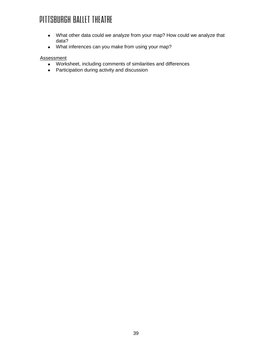- What other data could we analyze from your map? How could we analyze that data?
- What inferences can you make from using your map?

#### **Assessment**

- Worksheet, including comments of similarities and differences
- Participation during activity and discussion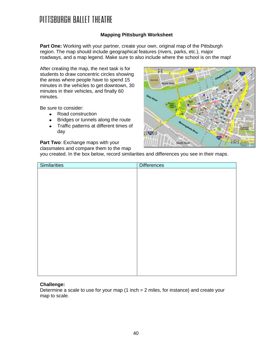#### **Mapping Pittsburgh Worksheet**

**Part One:** Working with your partner, create your own, original map of the Pittsburgh region. The map should include geographical features (rivers, parks, etc.), major roadways, and a map legend. Make sure to also include where the school is on the map!

两

North Sid

South Side

After creating the map, the next task is for students to draw concentric circles showing the areas where people have to spend 15 minutes in the vehicles to get downtown, 30 minutes in their vehicles, and finally 60 minutes.

Be sure to consider:

- Road construction  $\bullet$
- Bridges or tunnels along the route  $\bullet$
- Traffic patterns at different times of day

**Part Two**: Exchange maps with your

classmates and compare them to the map

you created. In the box below, record similarities and differences you see in their maps.

22 3rd 30

| <b>Similarities</b> | <b>Differences</b> |
|---------------------|--------------------|
|                     |                    |
|                     |                    |
|                     |                    |
|                     |                    |
|                     |                    |
|                     |                    |
|                     |                    |
|                     |                    |
|                     |                    |
|                     |                    |
|                     |                    |
|                     |                    |
|                     |                    |
|                     |                    |
|                     |                    |
|                     |                    |
|                     |                    |
|                     |                    |

#### **Challenge:**

Determine a scale to use for your map (1 inch = 2 miles, for instance) and create your map to scale.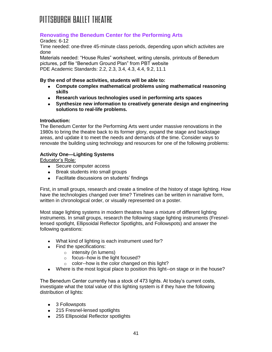#### **Renovating the Benedum Center for the Performing Arts**

Grades: 6-12

Time needed: one-three 45-minute class periods, depending upon which activites are done

Materials needed: "House Rules" worksheet, writing utensils, printouts of Benedum pictures, pdf file "Benedum Ground Plan" from PBT website PDE Academic Standards: 2.2, 2.3, 3.4, 4.3, 4.4, 9.2, 11.1

#### **By the end of these activities, students will be able to:**

- **Compute complex mathematical problems using mathematical reasoning skills**
- **Research various technologies used in performing arts spaces**
- **Synthesize new information to creatively generate design and engineering solutions to real-life problems.**

#### **Introduction:**

The Benedum Center for the Performing Arts went under massive renovations in the 1980s to bring the theatre back to its former glory, expand the stage and backstage areas, and update it to meet the needs and demands of the time. Consider ways to renovate the building using technology and resources for one of the following problems:

#### **Activity One—Lighting Systems**

Educator's Role:

- Secure computer access
- Break students into small groups
- Facilitate discussions on students' findings

First, in small groups, research and create a timeline of the history of stage lighting. How have the technologies changed over time? Timelines can be written in narrative form, written in chronological order, or visually represented on a poster.

Most stage lighting systems in modern theatres have a mixture of different lighting instruments. In small groups, research the following stage lighting instruments (Fresnellensed spotlight, Ellipsoidal Reflector Spotlights, and Followspots) and answer the following questions:

- What kind of lighting is each instrument used for?
- Find the specifications:
	- o intensity (in lumens)
	- o focus--how is the light focused?
	- o color--how is the color changed on this light?
- Where is the most logical place to position this light--on stage or in the house?

The Benedum Center currently has a stock of 473 lights. At today's current costs, investigate what the total value of this lighting system is if they have the following distribution of lights:

- 3 Followspots
- 215 Fresnel-lensed spotlights
- 255 Ellipsoidal Reflector spotlights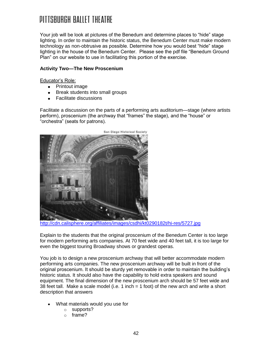Your job will be look at pictures of the Benedum and determine places to "hide" stage lighting. In order to maintain the historic status, the Benedum Center must make modern technology as non-obtrusive as possible. Determine how you would best "hide" stage lighting in the house of the Benedum Center. Please see the pdf file "Benedum Ground Plan" on our website to use in facilitating this portion of the exercise.

#### **Activity Two—The New Proscenium**

Educator's Role:

- Printout image
- Break students into small groups
- Facilitate discussions

Facilitate a discussion on the parts of a performing arts auditorium—stage (where artists perform), proscenium (the archway that "frames" the stage), and the "house" or "orchestra" (seats for patrons).



<http://cdn.calisphere.org/affiliates/images/csdhi/kt0290182t/hi-res/5727.jpg>

Explain to the students that the original proscenium of the Benedum Center is too large for modern performing arts companies. At 70 feet wide and 40 feet tall, it is too large for even the biggest touring Broadway shows or grandest operas.

You job is to design a new proscenium archway that will better accommodate modern performing arts companies. The new proscenium archway will be built in front of the original proscenium. It should be sturdy yet removable in order to maintain the building's historic status. It should also have the capability to hold extra speakers and sound equipment. The final dimension of the new proscenium arch should be 57 feet wide and 38 feet tall. Make a scale model (i.e. 1 inch = 1 foot) of the new arch and write a short description that answers

- What materials would you use for
	- o supports?
	- o frame?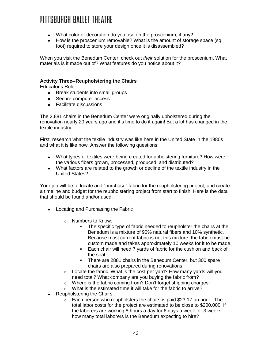- What color or decoration do you use on the proscenium, if any?
- How is the proscenium removable? What is the amount of storage space (sq. foot) required to store your design once it is disassembled?

When you visit the Benedum Center, check out *their* solution for the proscenium. What materials is it made out of? What features do you notice about it?

#### **Activity Three--Reupholstering the Chairs**

Educator's Role:

- Break students into small groups
- Secure computer access
- Facilitate discussions

The 2,881 chairs in the Benedum Center were originally upholstered during the renovation nearly 20 years ago and it's time to do it again! But a lot has changed in the textile industry.

First, research what the textile industry was like here in the United State in the 1980s and what it is like now. Answer the following questions:

- What types of textiles were being created for upholstering furniture? How were the various fibers grown, processed, produced, and distributed?
- What factors are related to the growth or decline of the textile industry in the United States?

Your job will be to locate and "purchase" fabric for the reupholstering project, and create a timeline and budget for the reupholstering project from start to finish. Here is the data that should be found and/or used:

- Locating and Purchasing the Fabric
	- o Numbers to Know:
		- The specific type of fabric needed to reupholster the chairs at the Benedum is a mixture of 90% natural fibers and 10% synthetic. Because most current fabric is not this mixture, the fabric must be custom made and takes approximately 10 weeks for it to be made.
		- Each chair will need 7 yards of fabric for the cushion and back of the seat.
		- **There are 2881 chairs in the Benedum Center, but 300 spare** chairs are also prepared during renovations.
	- $\circ$  Locate the fabric. What is the cost per yard? How many yards will you need total? What company are you buying the fabric from?
	- $\circ$  Where is the fabric coming from? Don't forget shipping charges!<br>  $\circ$  What is the estimated time it will take for the fabric to arrive?
	- What is the estimated time it will take for the fabric to arrive?
- Reupholstering the Chairs:
	- $\circ$  Each person who reupholsters the chairs is paid \$23.17 an hour. The total labor costs for the project are estimated to be close to \$200,000. If the laborers are working 8 hours a day for 6 days a week for 3 weeks, how many total laborers is the Benedum expecting to hire?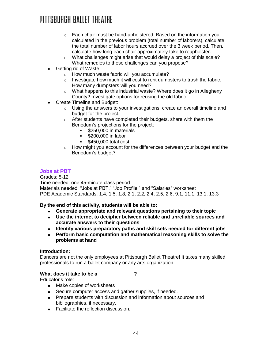### DITTSRURGH RAITET THEATRE

- $\circ$  Each chair must be hand-upholstered. Based on the information you calculated in the previous problem (total number of laborers), calculate the total number of labor hours accrued over the 3 week period. Then, calculate how long each chair approximately take to reupholster.
- o What challenges might arise that would delay a project of this scale? What remedies to these challenges can you propose?
- Getting rid of Waste:
	- o How much waste fabric will you accumulate?
	- $\circ$  Investigate how much it will cost to rent dumpsters to trash the fabric. How many dumpsters will you need?
	- o What happens to this industrial waste? Where does it go in Allegheny County? Investigate options for reusing the old fabric.
- Create Timeline and Budget:
	- o Using the answers to your investigations, create an overall timeline and budget for the project.
	- o After students have completed their budgets, share with them the Benedum's projections for the project:
		- **\$250,000 in materials**
		- **\$200,000 in labor**
		- $\textdegree$  \$450,000 total cost
	- o How might you account for the differences between your budget and the Benedum's budget?

#### **Jobs at PBT**

Grades: 5-12 Time needed: one 45-minute class period Materials needed: "Jobs at PBT," "Job Profile," and "Salaries" worksheet PDE Academic Standards: 1.4, 1.5, 1.8, 2.1, 2.2, 2.4, 2.5, 2.6, 9.1, 11.1, 13.1, 13.3

**By the end of this activity, students will be able to:**

- **Generate appropriate and relevant questions pertaining to their topic**
- **Use the internet to decipher between reliable and unreliable sources and accurate answers to their questions**
- **Identify various preparatory paths and skill sets needed for different jobs**
- **Perform basic computation and mathematical reasoning skills to solve the problems at hand**

#### **Introduction:**

Dancers are not the only employees at Pittsburgh Ballet Theatre! It takes many skilled professionals to run a ballet company or any arts organization.

#### **What does it take to be a \_\_\_\_\_\_\_\_\_\_\_\_\_?**

Educator's role:

- Make copies of worksheets
- Secure computer access and gather supplies, if needed.
- Prepare students with discussion and information about sources and bibliographies, if necessary.
- Facilitate the reflection discussion.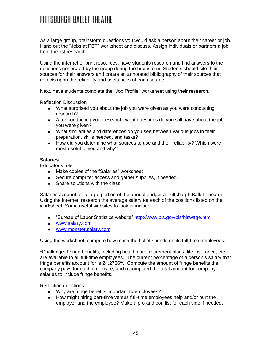As a large group, brainstorm questions you would ask a person about their career or job. Hand out the "Jobs at PBT" worksheet and discuss. Assign individuals or partners a job from the list research.

Using the internet or print resources, have students research and find answers to the questions generated by the group during the brainstorm. Students should cite their sources for their answers and create an annotated bibliography of their sources that reflects upon the reliability and usefulness of each source.

Next, have students complete the "Job Profile" worksheet using their research.

Reflection Discussion

- What surprised you about the job you were given as you were conducting research?
- After conducting your research, what questions do you still have about the job you were given?
- What similarities and differences do you see between various jobs in their preparation, skills needed, and tasks?
- How did you determine what sources to use and their reliability? Which were most useful to you and why?

#### **Salaries**

Educator's role:

- Make copies of the "Salaries" worksheet
- Secure computer access and gather supplies, if needed.
- Share solutions with the class.

Salaries account for a large portion of the annual budget at Pittsburgh Ballet Theatre. Using the internet, research the average salary for each of the positions listed on the worksheet. Some useful websites to look at include:

- "Bureau of Labor Statistics website"<http://www.bls.gov/bls/blswage.htm>
- [www.salary.com](http://www.salary.com/)
- [www.monster.salary.com](http://www.monster.salary.com/)

Using the worksheet, compute how much the ballet spends on its full-time employees.

\*Challenge: Fringe benefits, including health care, retirement plans, life insurance, etc., are available to all full-time employees. The current percentage of a person's salary that fringe benefits account for is 24.2736%. Compute the amount of fringe benefits the company pays for each employee, and recomputed the total amount for company salaries to include fringe benefits.

#### Reflection questions:

- Why are fringe benefits important to employees?
- How might hiring part-time versus full-time employees help and/or hurt the employer and the employee? Make a pro and con list for each side if needed.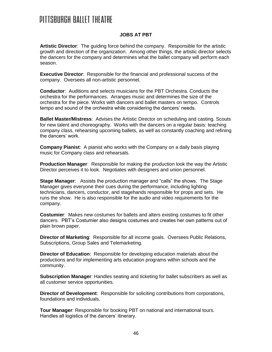#### **JOBS AT PBT**

**Artistic Director**: The guiding force behind the company. Responsible for the artistic growth and direction of the organization. Among other things, the artistic director selects the dancers for the company and determines what the ballet company will perform each season.

**Executive Director**: Responsible for the financial and professional success of the company. Oversees all non-artistic personnel.

**Conductor**: Auditions and selects musicians for the PBT Orchestra. Conducts the orchestra for the performances. Arranges music and determines the size of the orchestra for the piece. Works with dancers and ballet masters on tempo. Controls tempo and sound of the orchestra while considering the dancers' needs.

**Ballet Master/Mistress**: Advises the Artistic Director on scheduling and casting. Scouts for new talent and choreography. Works with the dancers on a regular basis: teaching company class, rehearsing upcoming ballets, as well as constantly coaching and refining the dancers' work.

**Company Pianist**: A pianist who works with the Company on a daily basis playing music for Company class and rehearsals.

**Production Manager**: Responsible for making the production look the way the Artistic Director perceives it to look. Negotiates with designers and union personnel.

**Stage Manager**: Assists the production manager and "calls" the shows. The Stage Manager gives everyone their cues during the performance, including lighting technicians, dancers, conductor, and stagehands responsible for props and sets. He runs the show. He is also responsible for the audio and video requirements for the company.

**Costumier**: Makes new costumes for ballets and alters existing costumes to fit other dancers. PBT's Costumier also designs costumes and creates her own patterns out of plain brown paper.

**Director of Marketing**: Responsible for all income goals. Oversees Public Relations, Subscriptions, Group Sales and Telemarketing.

**Director of Education**: Responsible for developing education materials about the productions and for implementing arts education programs within schools and the community.

**Subscription Manager**: Handles seating and ticketing for ballet subscribers as well as all customer service opportunities.

**Director of Development**: Responsible for soliciting contributions from corporations, foundations and individuals.

**Tour Manager**: Responsible for booking PBT on national and international tours. Handles all logistics of the dancers' itinerary.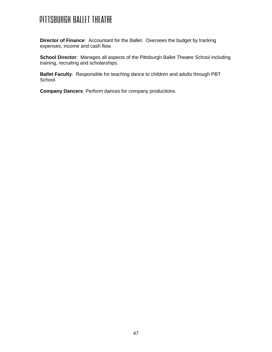**Director of Finance**: Accountant for the Ballet. Oversees the budget by tracking expenses, income and cash flow.

**School Director:** Manages all aspects of the Pittsburgh Ballet Theatre School including training, recruiting and scholarships.

**Ballet Faculty**: Responsible for teaching dance to children and adults through PBT School.

**Company Dancers**: Perform dances for company productions.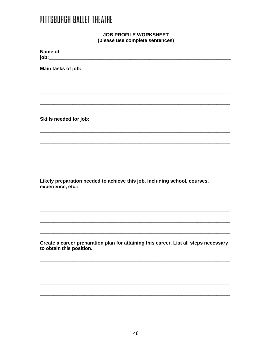#### **JOB PROFILE WORKSHEET** (please use complete sentences)

| Name of<br>job:__                                                                                                |
|------------------------------------------------------------------------------------------------------------------|
| Main tasks of job:                                                                                               |
|                                                                                                                  |
|                                                                                                                  |
| Skills needed for job:                                                                                           |
|                                                                                                                  |
|                                                                                                                  |
|                                                                                                                  |
| Likely preparation needed to achieve this job, including school, courses,<br>experience, etc.:                   |
|                                                                                                                  |
|                                                                                                                  |
|                                                                                                                  |
| Create a career preparation plan for attaining this career. List all steps necessary<br>to obtain this position. |
|                                                                                                                  |
|                                                                                                                  |
|                                                                                                                  |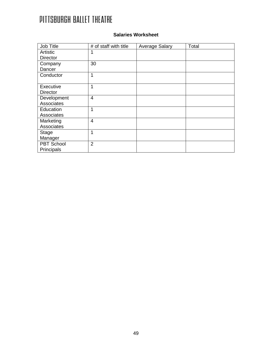| <b>Salaries Worksheet</b> |
|---------------------------|
|                           |

| Job Title         | # of staff with title | <b>Average Salary</b> | Total |
|-------------------|-----------------------|-----------------------|-------|
| Artistic          | 1                     |                       |       |
| <b>Director</b>   |                       |                       |       |
| Company           | 30                    |                       |       |
| Dancer            |                       |                       |       |
| Conductor         | $\mathbf{1}$          |                       |       |
|                   |                       |                       |       |
| Executive         | $\mathbf 1$           |                       |       |
| <b>Director</b>   |                       |                       |       |
| Development       | $\overline{4}$        |                       |       |
| Associates        |                       |                       |       |
| Education         | 1                     |                       |       |
| Associates        |                       |                       |       |
| Marketing         | $\overline{4}$        |                       |       |
| Associates        |                       |                       |       |
| Stage             | $\mathbf 1$           |                       |       |
| Manager           |                       |                       |       |
| <b>PBT School</b> | $\overline{2}$        |                       |       |
| Principals        |                       |                       |       |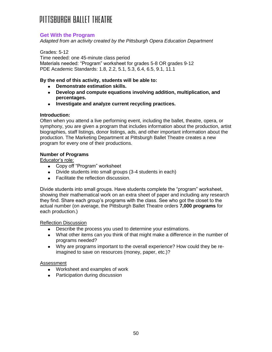#### **Get With the Program**

*Adapted from an activity created by the Pittsburgh Opera Education Department*

Grades: 5-12 Time needed: one 45-minute class period Materials needed: "Program" worksheet for grades 5-8 OR grades 9-12 PDE Academic Standards: 1.8, 2.2, 5.1, 5.3, 6.4, 6.5, 9.1, 11.1

#### **By the end of this activity, students will be able to:**

- **Demonstrate estimation skills.**
- **Develop and compute equations involving addition, multiplication, and percentages.**
- **Investigate and analyze current recycling practices.**

#### **Introduction:**

Often when you attend a live performing event, including the ballet, theatre, opera, or symphony, you are given a program that includes information about the production, artist biographies, staff listings, donor listings, ads, and other important information about the production. The Marketing Department at Pittsburgh Ballet Theatre creates a new program for every one of their productions.

#### **Number of Programs**

Educator's role:

- Copy off "Program" worksheet
- Divide students into small groups (3-4 students in each)
- Facilitate the reflection discussion.

Divide students into small groups. Have students complete the "program" worksheet, showing their mathematical work on an extra sheet of paper and including any research they find. Share each group's programs with the class. See who got the closet to the actual number (on average, the Pittsburgh Ballet Theatre orders **7,000 programs** for each production.)

#### Reflection Discussion

- Describe the process you used to determine your estimations.
- What other items can you think of that might make a difference in the number of programs needed?
- Why are programs important to the overall experience? How could they be reimagined to save on resources (money, paper, etc.)?

#### **Assessment**

- Worksheet and examples of work
- Participation during discussion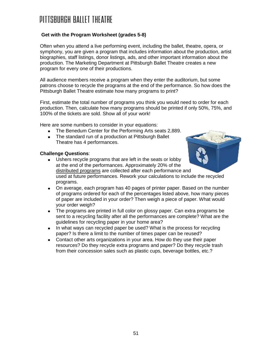### DITTSRURGH RAITET THEATRE

#### **Get with the Program Worksheet (grades 5-8)**

Often when you attend a live performing event, including the ballet, theatre, opera, or symphony, you are given a program that includes information about the production, artist biographies, staff listings, donor listings, ads, and other important information about the production. The Marketing Department at Pittsburgh Ballet Theatre creates a new program for every one of their productions.

All audience members receive a program when they enter the auditorium, but some patrons choose to recycle the programs at the end of the performance. So how does the Pittsburgh Ballet Theatre estimate how many programs to print?

First, estimate the total number of programs you think you would need to order for each production. Then, calculate how many programs should be printed if only 50%, 75%, and 100% of the tickets are sold. Show all of your work!

Here are some numbers to consider in your equations:

- The Benedum Center for the Performing Arts seats 2,889.
- The standard run of a production at Pittsburgh Ballet Theatre has 4 performances.

#### **Challenge Questions**:

- Ushers recycle programs that are left in the seats or lobby at the end of the performances. Approximately 20% of the distributed programs are collected after each performance and used at future performances. Rework your calculations to include the recycled programs.
- On average, each program has 40 pages of printer paper. Based on the number of programs ordered for each of the percentages listed above, how many pieces of paper are included in your order? Then weigh a piece of paper. What would your order weigh?
- The programs are printed in full color on glossy paper. Can extra programs be  $\bullet$ sent to a recycling facility after all the performances are complete? What are the guidelines for recycling paper in your home area?
- In what ways can recycled paper be used? What is the process for recycling paper? Is there a limit to the number of times paper can be reused?
- Contact other arts organizations in your area. How do they use their paper resources? Do they recycle extra programs and paper? Do they recycle trash from their concession sales such as plastic cups, beverage bottles, etc.?

51